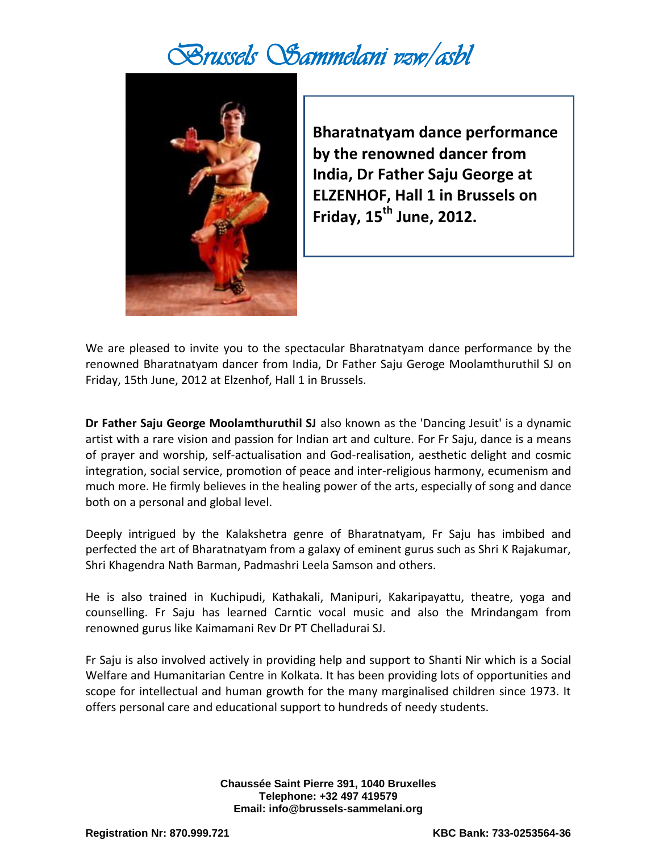## *Brussels Sammelani vzw/asbl*



**Bharatnatyam dance performance by the renowned dancer from India, Dr Father Saju George at ELZENHOF, Hall 1 in Brussels on Friday, 15th June, 2012.**

We are pleased to invite you to the spectacular Bharatnatyam dance performance by the renowned Bharatnatyam dancer from India, Dr Father Saju Geroge Moolamthuruthil SJ on Friday, 15th June, 2012 at Elzenhof, Hall 1 in Brussels.

**Dr Father Saju George Moolamthuruthil SJ** also known as the 'Dancing Jesuit' is a dynamic artist with a rare vision and passion for Indian art and culture. For Fr Saju, dance is a means of prayer and worship, self-actualisation and God-realisation, aesthetic delight and cosmic integration, social service, promotion of peace and inter-religious harmony, ecumenism and much more. He firmly believes in the healing power of the arts, especially of song and dance both on a personal and global level.

Deeply intrigued by the Kalakshetra genre of Bharatnatyam, Fr Saju has imbibed and perfected the art of Bharatnatyam from a galaxy of eminent gurus such as Shri K Rajakumar, Shri Khagendra Nath Barman, Padmashri Leela Samson and others.

He is also trained in Kuchipudi, Kathakali, Manipuri, Kakaripayattu, theatre, yoga and counselling. Fr Saju has learned Carntic vocal music and also the Mrindangam from renowned gurus like Kaimamani Rev Dr PT Chelladurai SJ.

Fr Saju is also involved actively in providing help and support to Shanti Nir which is a Social Welfare and Humanitarian Centre in Kolkata. It has been providing lots of opportunities and scope for intellectual and human growth for the many marginalised children since 1973. It offers personal care and educational support to hundreds of needy students.

> **Chaussée Saint Pierre 391, 1040 Bruxelles Telephone: +32 497 419579 Email: info@brussels-sammelani.org**

**Registration Nr: 870.999.721 KBC Bank: 733-0253564-36**